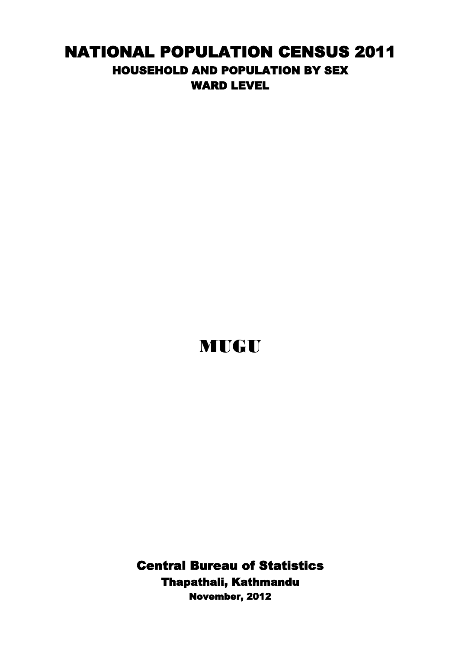## NATIONAL POPULATION CENSUS 2011 HOUSEHOLD AND POPULATION BY SEX WARD LEVEL

## MUGU

Central Bureau of Statistics Thapathali, Kathmandu November, 2012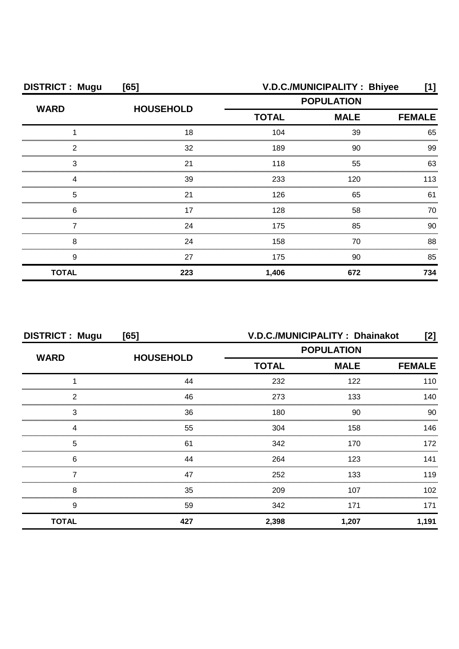| <b>DISTRICT: Mugu</b> | [65]             | V.D.C./MUNICIPALITY: Bhiyee                      |               |     |
|-----------------------|------------------|--------------------------------------------------|---------------|-----|
| <b>WARD</b>           | <b>HOUSEHOLD</b> | <b>POPULATION</b><br><b>TOTAL</b><br><b>MALE</b> |               |     |
|                       |                  |                                                  | <b>FEMALE</b> |     |
|                       | 18               | 104                                              | 39            | 65  |
| 2                     | 32               | 189                                              | 90            | 99  |
| З                     | 21               | 118                                              | 55            | 63  |
|                       | 39               | 233                                              | 120           | 113 |
| 5                     | 21               | 126                                              | 65            | 61  |
| 6                     | 17               | 128                                              | 58            | 70  |
|                       | 24               | 175                                              | 85            | 90  |
| 8                     | 24               | 158                                              | 70            | 88  |
| 9                     | 27               | 175                                              | 90            | 85  |
| <b>TOTAL</b>          | 223              | 1,406                                            | 672           | 734 |

| <b>DISTRICT: Mugu</b><br>[65] |                  | V.D.C./MUNICIPALITY: Dhainakot<br>[2] |                   |                  |
|-------------------------------|------------------|---------------------------------------|-------------------|------------------|
|                               |                  |                                       | <b>POPULATION</b> |                  |
| <b>WARD</b>                   | <b>HOUSEHOLD</b> | <b>TOTAL</b>                          | <b>MALE</b>       | <b>FEMALE</b>    |
|                               | 44               | 232                                   | 122               | 110              |
| 2                             | 46               | 273                                   | 133               | 140              |
| 3                             | 36               | 180                                   | 90                | 90               |
| Δ                             | 55               | 304                                   | 158               | 146              |
| 5                             | 61               | 342                                   | 170               | 172              |
| 6                             | 44               | 264                                   | 123               | 141              |
|                               | 47               | 252                                   | 133               | 119              |
| 8                             | 35               | 209                                   | 107               | 102 <sub>2</sub> |
| 9                             | 59               | 342                                   | 171               | 171              |
| <b>TOTAL</b>                  | 427              | 2,398                                 | 1,207             | 1,191            |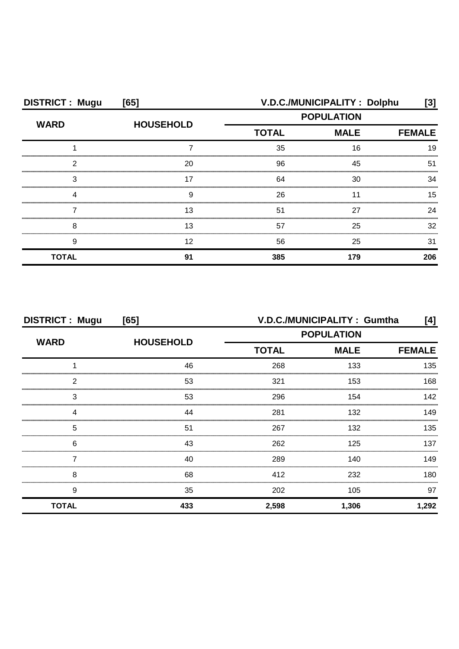| <b>DISTRICT: Mugu</b> | [65]             | V.D.C./MUNICIPALITY: Dolphu<br>[3] |                              |     |
|-----------------------|------------------|------------------------------------|------------------------------|-----|
| <b>WARD</b>           | <b>HOUSEHOLD</b> |                                    | <b>POPULATION</b>            |     |
|                       |                  | <b>TOTAL</b>                       | <b>MALE</b><br><b>FEMALE</b> |     |
|                       |                  | 35                                 | 16                           | 19  |
| ົ                     | 20               | 96                                 | 45                           | 51  |
|                       |                  | 64                                 | 30                           | ว⊿  |
|                       |                  | 26                                 |                              | 15  |
|                       | 13               | 51                                 | 27                           | 24  |
| ۶                     |                  | 57                                 | 25                           | 32  |
| 9                     | 12               | 56                                 | 25                           | 31  |
| <b>TOTAL</b>          | Q1               | 385                                | 179                          | 206 |

| <b>DISTRICT: Mugu</b><br>[65] |                  | V.D.C./MUNICIPALITY: Gumtha<br>[4] |       |               |
|-------------------------------|------------------|------------------------------------|-------|---------------|
| <b>WARD</b>                   | <b>HOUSEHOLD</b> | <b>POPULATION</b>                  |       |               |
|                               |                  | <b>MALE</b><br><b>TOTAL</b>        |       | <b>FEMALE</b> |
|                               | 46               | 268                                | 133   | 135           |
| っ                             | 53               | 321                                | 153   | 168           |
| 3                             | 53               | 296                                | 154   | 142           |
|                               | 44               | 281                                | 132   | 149           |
| 5                             | 51               | 267                                | 132   | 135           |
| 6                             | 43               | 262                                | 125   | 137           |
|                               | 40               | 289                                | 140   | 149           |
| 8                             | 68               | 412                                | 232   | 180.          |
| 9                             | 35               | 202                                | 105   | 97            |
| <b>TOTAL</b>                  | 433              | 2,598                              | 1,306 | 1,292         |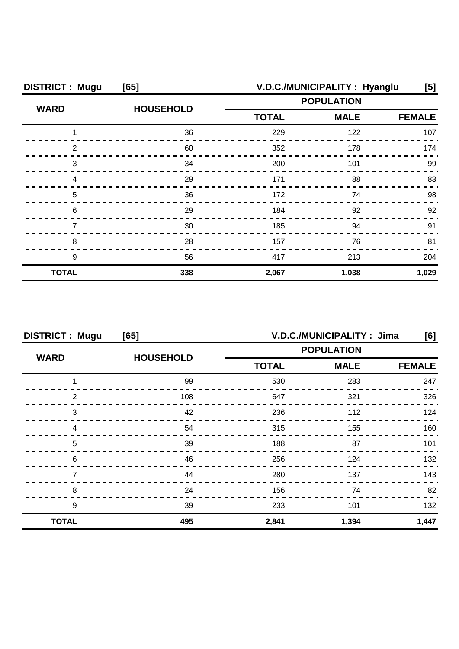| <b>DISTRICT: Mugu</b> | [65]             | V.D.C./MUNICIPALITY: Hyanglu<br>[5] |               |       |
|-----------------------|------------------|-------------------------------------|---------------|-------|
| <b>WARD</b>           | <b>HOUSEHOLD</b> | <b>POPULATION</b>                   |               |       |
|                       |                  | <b>TOTAL</b>                        | <b>FEMALE</b> |       |
|                       | 36               | 229                                 | 122           | 107   |
| 2                     | 60               | 352                                 | 178           | 174   |
| 3                     | 34               | 200                                 | 101           | 99    |
|                       | 29               | 171                                 | 88            | 83    |
| 5                     | 36               | 172                                 | 74            | 98    |
| 6                     | 29               | 184                                 | 92            | 92    |
|                       | 30               | 185                                 | 94            | 91    |
| 8                     | 28               | 157                                 | 76            | 81    |
| 9                     | 56               | 417                                 | 213           | 204   |
| <b>TOTAL</b>          | 338              | 2,067                               | 1,038         | 1,029 |

| <b>DISTRICT: Mugu</b><br>[65] |                  | V.D.C./MUNICIPALITY: Jima<br>[6]             |                   |       |
|-------------------------------|------------------|----------------------------------------------|-------------------|-------|
| <b>WARD</b>                   | <b>HOUSEHOLD</b> |                                              | <b>POPULATION</b> |       |
|                               |                  | <b>MALE</b><br><b>TOTAL</b><br><b>FEMALE</b> |                   |       |
|                               | 99               | 530                                          | 283               | 247   |
| 2                             | 108              | 647                                          | 321               | 326   |
| 3                             | 42               | 236                                          | 112               | 124   |
|                               | 54               | 315                                          | 155               | 160   |
| 5                             | 39               | 188                                          | 87                | 101   |
| 6                             | 46               | 256                                          | 124               | 132   |
|                               | 44               | 280                                          | 137               | 143   |
| 8                             | 24               | 156                                          | 74                | 82    |
| 9                             | 39               | 233                                          | 101               | 132   |
| <b>TOTAL</b>                  | 495              | 2,841                                        | 1,394             | 1,447 |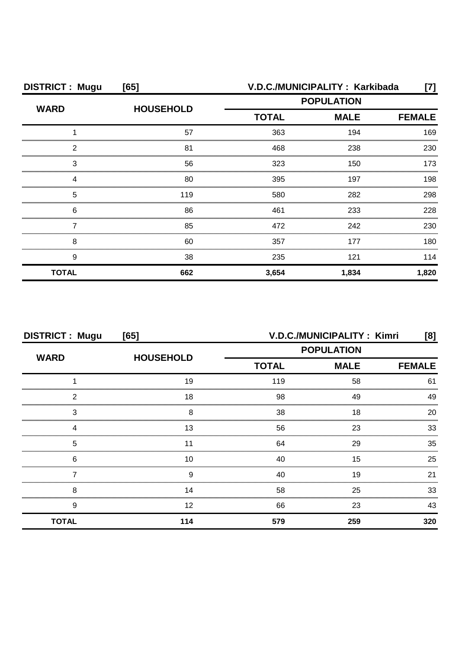| <b>DISTRICT: Mugu</b> | [65]             | V.D.C./MUNICIPALITY: Karkibada<br>[7] |       |               |
|-----------------------|------------------|---------------------------------------|-------|---------------|
| <b>WARD</b>           | <b>HOUSEHOLD</b> | <b>POPULATION</b>                     |       |               |
|                       |                  | <b>TOTAL</b><br><b>MALE</b>           |       | <b>FEMALE</b> |
|                       | 57               | 363                                   | 194   | 169           |
| 2                     | 81               | 468                                   | 238   | 230           |
| З                     | 56               | 323                                   | 150   | 173           |
|                       | 80               | 395                                   | 197   | 198           |
| 5                     | 119              | 580                                   | 282   | 298           |
| 6                     | 86               | 461                                   | 233   | 228           |
|                       | 85               | 472                                   | 242   | 230           |
| 8                     | 60               | 357                                   | 177   | 180           |
| 9                     | 38               | 235                                   | 121   | 114           |
| <b>TOTAL</b>          | 662              | 3,654                                 | 1,834 | 1,820         |

| <b>DISTRICT: Mugu</b><br>[65] |                  | V.D.C./MUNICIPALITY: Kimri<br>[8] |                   |               |
|-------------------------------|------------------|-----------------------------------|-------------------|---------------|
| <b>WARD</b>                   | <b>HOUSEHOLD</b> |                                   | <b>POPULATION</b> |               |
|                               |                  | <b>TOTAL</b>                      | <b>MALE</b>       | <b>FEMALE</b> |
|                               | 19               | 119                               | 58                | 61            |
| ◠                             | 18               | 98                                | 49                | 49            |
| З                             | 8                | 38                                | 18                | 20            |
|                               | Ι3               | 56                                | 23                | 33            |
| 5                             |                  | 64                                | 29                | 35            |
| 6                             | 10               | 40                                | 15                | 25            |
|                               | 9                | 40                                | 19                | 21            |
| 8                             | 14               | 58                                | 25                | 33            |
| 9                             | 12               | 66                                | 23                | 43            |
| <b>TOTAL</b>                  | 114              | 579                               | 259               | 320           |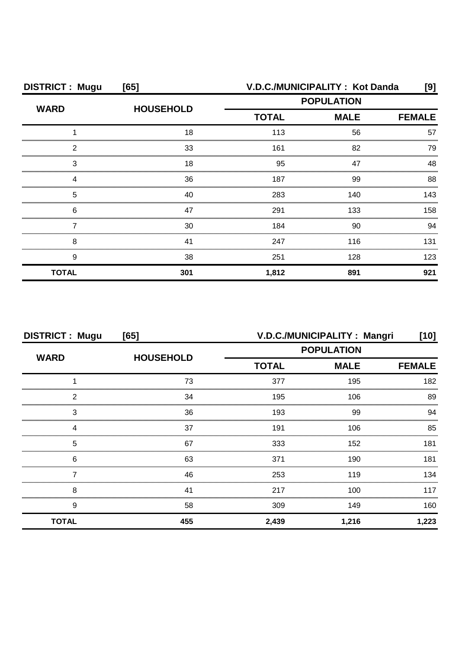| <b>DISTRICT: Mugu</b> | [65]             |                   | V.D.C./MUNICIPALITY: Kot Danda | [9]  |
|-----------------------|------------------|-------------------|--------------------------------|------|
| <b>WARD</b>           | <b>HOUSEHOLD</b> | <b>POPULATION</b> |                                |      |
|                       |                  | <b>TOTAL</b>      | <b>MALE</b><br><b>FEMALE</b>   |      |
|                       | 18               | 113               | 56                             | 57   |
| 2                     | 33               | 161               | 82                             | 79   |
| 3                     | 18               | 95                | 47                             | 48   |
|                       | 36               | 187               | 99                             | 88   |
| 5                     | 40               | 283               | 140                            | 143. |
| 6                     | 47               | 291               | 133                            | 158  |
|                       | 30               | 184               | 90                             | .94  |
| 8                     | 41               | 247               | 116                            | 131  |
| 9                     | 38               | 251               | 128                            | 123  |
| <b>TOTAL</b>          | 301              | 1,812             | 891                            | 921  |

| <b>DISTRICT: Mugu</b><br>[65] |                  | V.D.C./MUNICIPALITY: Mangri<br>[10] |             |               |
|-------------------------------|------------------|-------------------------------------|-------------|---------------|
| <b>WARD</b>                   | <b>HOUSEHOLD</b> | <b>POPULATION</b>                   |             |               |
|                               |                  | <b>TOTAL</b>                        | <b>MALE</b> | <b>FEMALE</b> |
|                               | 73               | 377                                 | 195         | 182           |
| 2                             | 34               | 195                                 | 106         | 89            |
| 3                             | 36               | 193                                 | 99          | 94            |
|                               | 37               | 191                                 | 106         | 85            |
| 5                             | 67               | 333                                 | 152         | 181           |
| 6                             | 63               | 371                                 | 190         | 181           |
|                               | 46               | 253                                 | 119         | 134           |
| 8                             | 41               | 217                                 | 100         | 117           |
| 9                             | 58               | 309                                 | 149         | 160           |
| <b>TOTAL</b>                  | 455              | 2,439                               | 1,216       | 1,223         |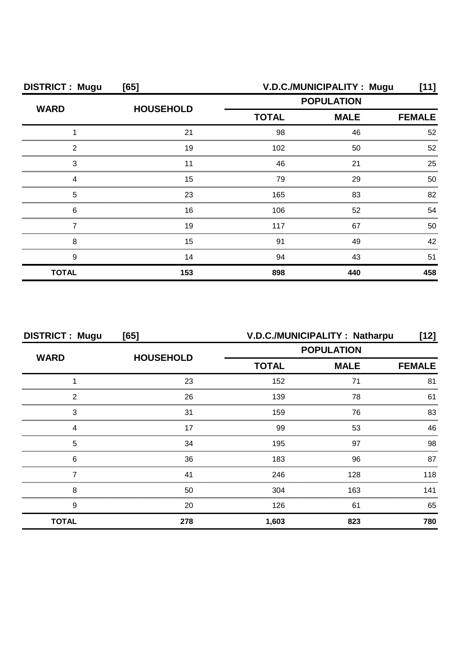| <b>DISTRICT: Mugu</b> | [65]             |              | V.D.C./MUNICIPALITY: Mugu | [11]          |
|-----------------------|------------------|--------------|---------------------------|---------------|
| <b>WARD</b>           | <b>HOUSEHOLD</b> |              | <b>POPULATION</b>         |               |
|                       |                  | <b>TOTAL</b> | <b>MALE</b>               | <b>FEMALE</b> |
|                       | 21               | 98           | 46                        | 52            |
| ◠                     | 19               | 102          | 50                        | 52            |
| З                     |                  | 46           | 21                        | 25            |
|                       | 15               | 79           | 29                        | 50            |
| 5                     | 23               | 165          | 83                        | 82            |
| 6                     | 16               | 106          | 52                        | 54            |
|                       | 19               | 117          | 67                        | 50            |
| 8                     | 15               | 91           | 49                        | 42            |
| 9                     | 14               | 94           | 43                        | 51            |
| <b>TOTAL</b>          | 153              | 898          | 440                       | 458           |

| <b>DISTRICT: Mugu</b><br>[65] |                  | V.D.C./MUNICIPALITY: Natharpu<br>[12] |                   |     |
|-------------------------------|------------------|---------------------------------------|-------------------|-----|
| <b>WARD</b>                   |                  |                                       | <b>POPULATION</b> |     |
|                               | <b>HOUSEHOLD</b> | <b>TOTAL</b><br><b>MALE</b>           | <b>FEMALE</b>     |     |
|                               | 23               | 152                                   |                   | 81  |
| 2                             | 26               | 139                                   | 78                | 61  |
| 3                             | 31               | 159                                   | 76                | 83  |
| Δ                             | 17               | 99                                    | 53                | 46  |
| 5                             | 34               | 195                                   | 97                | 98  |
| 6                             | 36               | 183                                   | 96                | 87  |
|                               | 41               | 246                                   | 128               | 118 |
| 8                             | 50               | 304                                   | 163               | 141 |
| 9                             | 20               | 126                                   | 61                | 65  |
| <b>TOTAL</b>                  | 278              | 1,603                                 | 823               | 780 |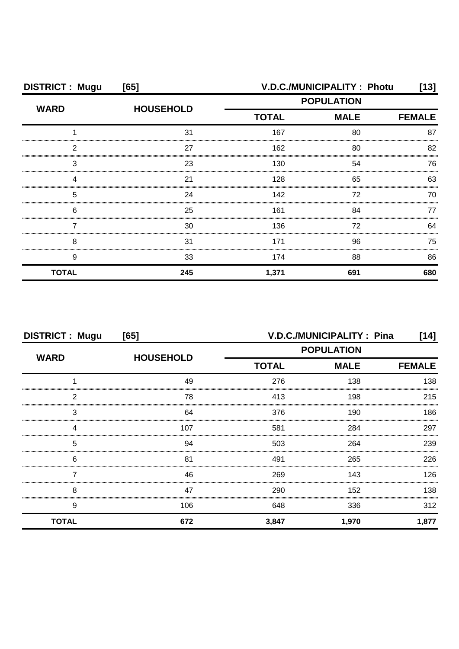| <b>DISTRICT: Mugu</b> | [65]             |                             | V.D.C./MUNICIPALITY: Photu | [13]          |
|-----------------------|------------------|-----------------------------|----------------------------|---------------|
| <b>WARD</b>           | <b>HOUSEHOLD</b> |                             | <b>POPULATION</b>          |               |
|                       |                  | <b>MALE</b><br><b>TOTAL</b> |                            | <b>FEMALE</b> |
|                       | 31               | 167                         | 80                         | 87            |
| っ                     | 27               | 162                         | 80                         | 82            |
| 3                     | 23               | 130                         | 54                         | 76            |
|                       | 21               | 128                         | 65                         | 63            |
| 5                     | 24               | 142                         | 72                         | 70            |
| 6                     | 25               | 161                         | 84                         | 77            |
|                       | 30               | 136                         | 72                         | 64            |
| 8                     | 31               | 171                         | 96                         | 75            |
| 9                     | 33               | 174                         | 88                         | 86            |
| <b>TOTAL</b>          | 245              | 1,371                       | 691                        | 680           |

| <b>DISTRICT: Mugu</b><br>[65] |                  | V.D.C./MUNICIPALITY: Pina<br>[14] |             |               |
|-------------------------------|------------------|-----------------------------------|-------------|---------------|
| <b>WARD</b>                   | <b>HOUSEHOLD</b> | <b>POPULATION</b>                 |             |               |
|                               |                  | <b>TOTAL</b>                      | <b>MALE</b> | <b>FEMALE</b> |
|                               | 49               | 276                               | 138         | 138           |
| 2                             | 78               | 413                               | 198         | 215           |
| 3                             | 64               | 376                               | 190         | 186           |
| Δ                             | 107              | 581                               | 284         | 297           |
| 5                             | 94               | 503                               | 264         | 239           |
| 6                             | 81               | 491                               | 265         | 226           |
|                               | 46               | 269                               | 143         | 126           |
| 8                             | 47               | 290                               | 152         | 138           |
| 9                             | 106              | 648                               | 336         | 312           |
| <b>TOTAL</b>                  | 672              | 3,847                             | 1,970       | 1,877         |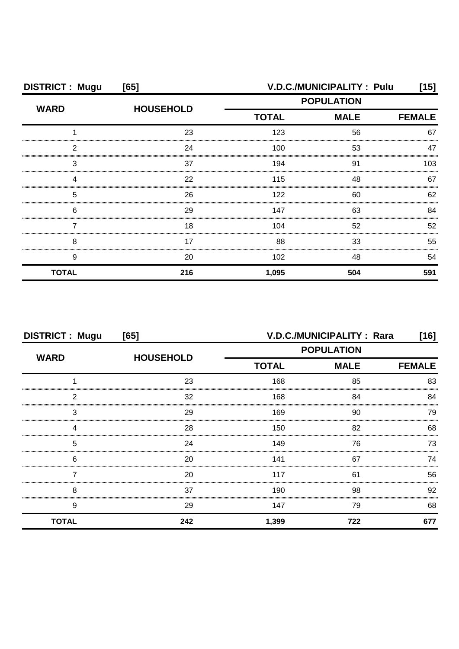| <b>DISTRICT: Mugu</b> | [65]             | V.D.C./MUNICIPALITY: Pulu<br>[15] |                   |               |
|-----------------------|------------------|-----------------------------------|-------------------|---------------|
| <b>WARD</b>           | <b>HOUSEHOLD</b> |                                   | <b>POPULATION</b> |               |
|                       |                  | <b>TOTAL</b>                      | <b>MALE</b>       | <b>FEMALE</b> |
|                       | 23               | 123                               | 56                | 67            |
| ◠                     | 24               | 100                               | 53                | 47            |
| З                     | 37               | 194                               | 91                | 103           |
|                       | 22               | 115                               | 48                | 67            |
| 5                     | 26               | 122                               | 60                | 62            |
| 6                     | 29               | 147                               | 63                | 84            |
|                       | 18               | 104                               | 52                | 52            |
| 8                     | 17               | 88                                | 33                | 55            |
| 9                     | 20               | 102                               | 48                | 54            |
| <b>TOTAL</b>          | 216              | 1,095                             | 504               | 591           |

| <b>DISTRICT: Mugu</b><br>[65] |                  | V.D.C./MUNICIPALITY : Rara<br>[16] |                   |               |
|-------------------------------|------------------|------------------------------------|-------------------|---------------|
| <b>WARD</b>                   |                  |                                    | <b>POPULATION</b> |               |
|                               | <b>HOUSEHOLD</b> | <b>TOTAL</b>                       | <b>MALE</b>       | <b>FEMALE</b> |
|                               | 23               | 168                                | 85                | 83            |
| 2                             | 32               | 168                                | 84                | 84            |
| 3                             | 29               | 169                                | 90                | 79            |
| Δ                             | 28               | 150                                | 82                | 68            |
| 5                             | 24               | 149                                | 76                | 73            |
| 6                             | 20               | 141                                | 67                | 74            |
|                               | 20               | 117                                | 61                | 56            |
| 8                             | 37               | 190                                | 98                | 92            |
| 9                             | 29               | 147                                | 79                | 68            |
| <b>TOTAL</b>                  | 242              | 1,399                              | 722               | 677           |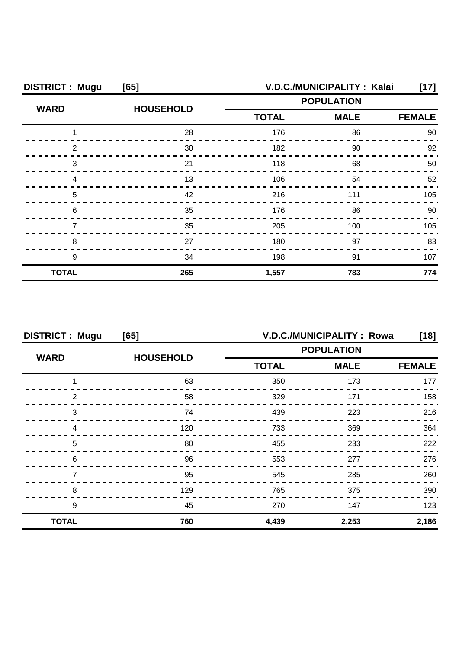| <b>DISTRICT: Mugu</b> | [65]             | V.D.C./MUNICIPALITY: Kalai<br>[17]                    |                   |         |
|-----------------------|------------------|-------------------------------------------------------|-------------------|---------|
| <b>WARD</b>           | <b>HOUSEHOLD</b> |                                                       | <b>POPULATION</b> |         |
|                       |                  | <b>TOTAL</b><br><b>MALE</b><br>176<br>86<br>182<br>90 | <b>FEMALE</b>     |         |
|                       | 28               |                                                       |                   | 90      |
| 2                     | 30               |                                                       |                   | 92      |
| З                     | 21               | 118                                                   | 68                | 50      |
|                       | 13               | 106                                                   | 54                | 52      |
| 5                     | 42               | 216                                                   | 111               | 105     |
| 6                     | 35               | 176                                                   | 86                | 90.     |
|                       | 35               | 205                                                   | 100               | $105 -$ |
| 8                     | 27               | 180                                                   | 97                | 83      |
| 9                     | 34               | 198                                                   | 91                | 107     |
| <b>TOTAL</b>          | 265              | 1,557                                                 | 783               | 774     |

| <b>DISTRICT: Mugu</b> | [65]             |                   | V.D.C./MUNICIPALITY: Rowa    | [18]  |
|-----------------------|------------------|-------------------|------------------------------|-------|
| <b>WARD</b>           | <b>HOUSEHOLD</b> | <b>POPULATION</b> |                              |       |
|                       |                  | <b>TOTAL</b>      | <b>MALE</b><br><b>FEMALE</b> |       |
|                       | 63               | 350               | 173                          | 177   |
| 2                     | 58               | 329               | 171                          | 158   |
| 3                     | 74               | 439               | 223                          | 216   |
|                       | 120              | 733               | 369                          | 364   |
| 5                     | 80               | 455               | 233                          | 222   |
| 6                     | 96               | 553               | 277                          | 276   |
|                       | 95               | 545               | 285                          | 260   |
| 8                     | 129              | 765               | 375                          | 390   |
| 9                     | 45               | 270               | 147                          | 123   |
| <b>TOTAL</b>          | 760              | 4,439             | 2,253                        | 2,186 |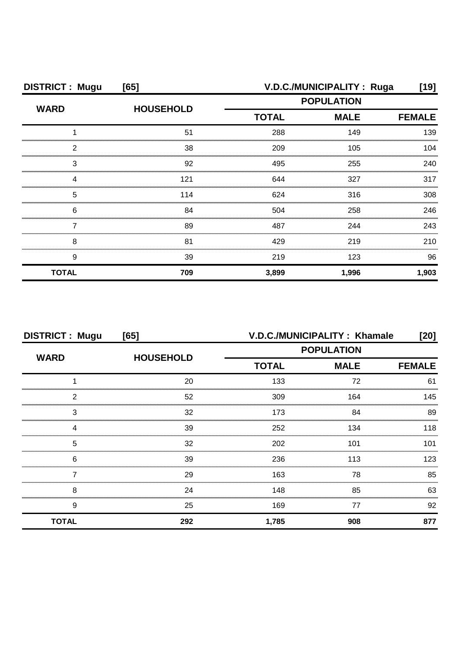| <b>DISTRICT: Mugu</b> | [65]             |                   | V.D.C./MUNICIPALITY: Ruga | [19]          |
|-----------------------|------------------|-------------------|---------------------------|---------------|
|                       | <b>HOUSEHOLD</b> | <b>POPULATION</b> |                           |               |
| <b>WARD</b>           |                  | <b>TOTAL</b>      | <b>MALE</b>               | <b>FEMALE</b> |
|                       | 51               | 288               | 149                       | 139           |
| ົ                     | 38               | 209               | 105                       | 104           |
| 3                     | 92               | 495               | 255                       | 240           |
|                       | 121              | 644               | 327                       | 317           |
| 5                     | 114              | 624               | 316                       | 308           |
| 6                     | 84               | 504               | 258                       | 246           |
|                       | 89               | 487               | 244                       | 243           |
| 8                     | 81               | 429               | 219                       | 210           |
| 9                     | 39               | 219               | 123                       | 96            |
| <b>TOTAL</b>          | 709              | 3,899             | 1,996                     | 1,903         |

| <b>DISTRICT: Mugu</b><br>[65] |                  | V.D.C./MUNICIPALITY: Khamale<br>[20] |                   |               |
|-------------------------------|------------------|--------------------------------------|-------------------|---------------|
| <b>WARD</b>                   |                  |                                      | <b>POPULATION</b> |               |
|                               | <b>HOUSEHOLD</b> | <b>TOTAL</b>                         | <b>MALE</b>       | <b>FEMALE</b> |
|                               | 20               | 133                                  | 72                | 61            |
| 2                             | 52               | 309                                  | 164               | 145           |
| 3                             | 32               | 173                                  | 84                | 89            |
| 4                             | 39               | 252                                  | 134               | 118           |
| 5                             | 32               | 202                                  | 101               | 101           |
| 6                             | 39               | 236                                  | 113               | 123           |
|                               | 29               | 163                                  | 78                | 85            |
| 8                             | 24               | 148                                  | 85                | 63            |
| 9                             | 25               | 169                                  | 77                | 92            |
| <b>TOTAL</b>                  | 292              | 1,785                                | 908               | 877           |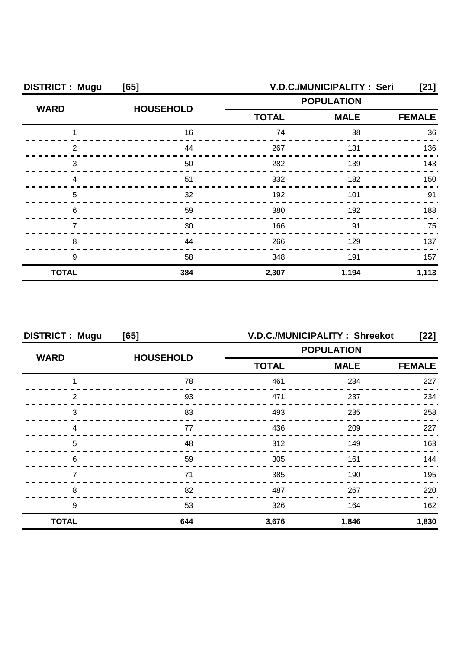| <b>DISTRICT: Mugu</b> | [65]             |              | V.D.C./MUNICIPALITY: Seri | [21]          |
|-----------------------|------------------|--------------|---------------------------|---------------|
| <b>WARD</b>           | <b>HOUSEHOLD</b> |              | <b>POPULATION</b>         |               |
|                       |                  | <b>TOTAL</b> | <b>MALE</b>               | <b>FEMALE</b> |
|                       | 16               | 74           | 38                        | 36            |
| 2                     | 44               | 267          | 131                       | 136           |
| З                     | 50               | 282          | 139                       | 143           |
|                       | 51               | 332          | 182                       | 150           |
| 5                     | 32               | 192          | 101                       | 91            |
| 6                     | 59               | 380          | 192                       | 188           |
|                       | 30               | 166          | 91                        | 75            |
| 8                     | 44               | 266          | 129                       | 137           |
| 9                     | 58               | 348          | 191                       | 157           |
| <b>TOTAL</b>          | 384              | 2,307        | 1,194                     | 1,113         |

| <b>DISTRICT: Mugu</b><br>[65] |                  | V.D.C./MUNICIPALITY: Shreekot<br>$[22]$ |             |               |
|-------------------------------|------------------|-----------------------------------------|-------------|---------------|
| <b>WARD</b>                   | <b>HOUSEHOLD</b> | <b>POPULATION</b>                       |             |               |
|                               |                  | <b>TOTAL</b>                            | <b>MALE</b> | <b>FEMALE</b> |
|                               | 78               | 461                                     | 234         | 227           |
| 2                             | 93               | 471                                     | 237         | 234           |
| 3                             | 83               | 493                                     | 235         | 258           |
| Δ                             | 77               | 436                                     | 209         | 227           |
| 5                             | 48               | 312                                     | 149         | 163           |
| 6                             | 59               | 305                                     | 161         | 144           |
|                               | 71               | 385                                     | 190         | 195           |
| 8                             | 82               | 487                                     | 267         | 220           |
| 9                             | 53               | 326                                     | 164         | 162           |
| <b>TOTAL</b>                  | 644              | 3,676                                   | 1,846       | 1,830         |